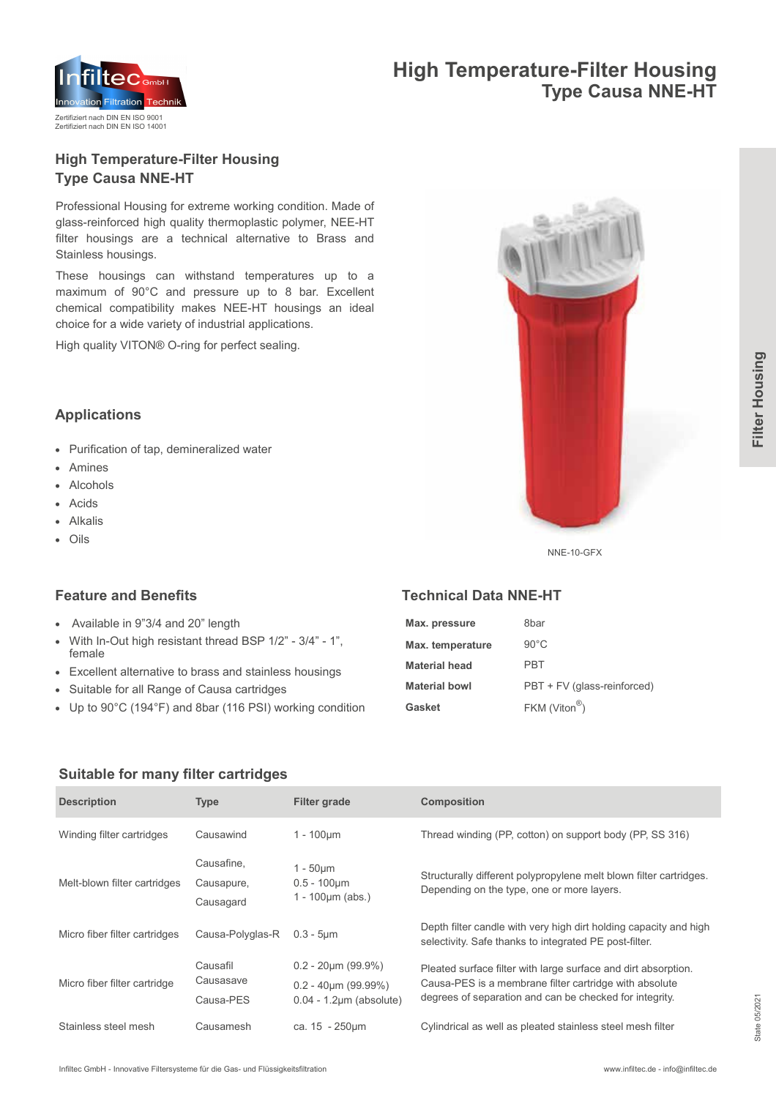

## **High Temperature-Filter Housing Type Causa NNE-HT**

## **High Temperature-Filter Housing Type Causa NNE-HT**

Professional Housing for extreme working condition. Made of glass-reinforced high quality thermoplastic polymer, NEE-HT filter housings are a technical alternative to Brass and Stainless housings.

These housings can withstand temperatures up to a maximum of 90°C and pressure up to 8 bar. Excellent chemical compatibility makes NEE-HT housings an ideal choice for a wide variety of industrial applications.

High quality VITON® O-ring for perfect sealing.



## **Applications**

- Purification of tap, demineralized water
- Amines
- Alcohols
- Acids
- Alkalis
- Oils

## **Feature and Benefits**

- Available in 9"3/4 and 20" length
- With In-Out high resistant thread BSP 1/2" 3/4" 1", female
- Excellent alternative to brass and stainless housings
- Suitable for all Range of Causa cartridges
- Up to 90°C (194°F) and 8bar (116 PSI) working condition

## **Technical Data NNE-HT**

| Max. pressure        | 8bar                        |
|----------------------|-----------------------------|
| Max. temperature     | $90^{\circ}$ C              |
| Material head        | PRT                         |
| <b>Material bowl</b> | PBT + FV (glass-reinforced) |
| Gasket               | $FKM$ (Viton <sup>®</sup> ) |

#### **Suitable for many filter cartridges**

| <b>Description</b>            | <b>Type</b>                           | <b>Filter grade</b>                                                                      | Composition                                                                                                                                                                         |
|-------------------------------|---------------------------------------|------------------------------------------------------------------------------------------|-------------------------------------------------------------------------------------------------------------------------------------------------------------------------------------|
| Winding filter cartridges     | Causawind                             | $1 - 100 \mu m$                                                                          | Thread winding (PP, cotton) on support body (PP, SS 316)                                                                                                                            |
| Melt-blown filter cartridges  | Causafine,<br>Causapure,<br>Causagard | 1 - 50µm<br>$0.5 - 100 \mu m$<br>1 - 100 $\mu$ m (abs.)                                  | Structurally different polypropylene melt blown filter cartridges.<br>Depending on the type, one or more layers.                                                                    |
| Micro fiber filter cartridges | Causa-Polyglas-R                      | $0.3 - 5 \mu m$                                                                          | Depth filter candle with very high dirt holding capacity and high<br>selectivity. Safe thanks to integrated PE post-filter.                                                         |
| Micro fiber filter cartridge  | Causafil<br>Causasave<br>Causa-PES    | $0.2 - 20 \mu m (99.9\%)$<br>$0.2 - 40 \mu m (99.99\%)$<br>$0.04 - 1.2 \mu m$ (absolute) | Pleated surface filter with large surface and dirt absorption.<br>Causa-PES is a membrane filter cartridge with absolute<br>degrees of separation and can be checked for integrity. |
| Stainless steel mesh          | Causamesh                             | ca. $15 - 250 \mu m$                                                                     | Cylindrical as well as pleated stainless steel mesh filter                                                                                                                          |